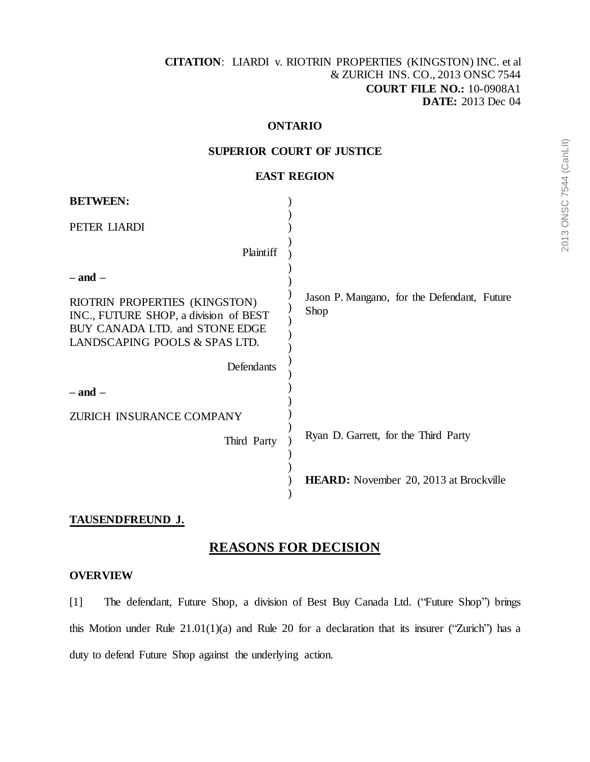#### **ONTARIO**

## **SUPERIOR COURT OF JUSTICE**

### **EAST REGION**

| <b>BETWEEN:</b>                                                                                                                           |                                                     |
|-------------------------------------------------------------------------------------------------------------------------------------------|-----------------------------------------------------|
| PETER LIARDI                                                                                                                              |                                                     |
| Plaintiff                                                                                                                                 |                                                     |
| $-$ and $-$                                                                                                                               |                                                     |
| RIOTRIN PROPERTIES (KINGSTON)<br>INC., FUTURE SHOP, a division of BEST<br>BUY CANADA LTD. and STONE EDGE<br>LANDSCAPING POOLS & SPAS LTD. | Jason P. Mangano, for the Defendant, Future<br>Shop |
| Defendants                                                                                                                                |                                                     |
| $-$ and $-$                                                                                                                               |                                                     |
| ZURICH INSURANCE COMPANY                                                                                                                  |                                                     |
| Third Party                                                                                                                               | Ryan D. Garrett, for the Third Party                |
|                                                                                                                                           | <b>HEARD:</b> November 20, 2013 at Brockville       |

# **TAUSENDFREUND J.**

# **REASONS FOR DECISION**

#### **OVERVIEW**

[1] The defendant, Future Shop, a division of Best Buy Canada Ltd. ("Future Shop") brings this Motion under Rule 21.01(1)(a) and Rule 20 for a declaration that its insurer ("Zurich") has a duty to defend Future Shop against the underlying action.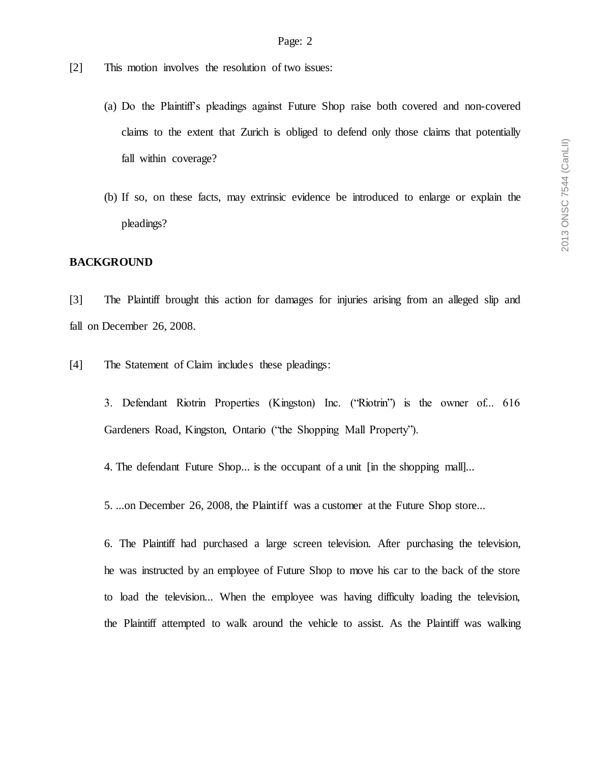- [2] This motion involves the resolution of two issues:
	- (a) Do the Plaintiff's pleadings against Future Shop raise both covered and non-covered claims to the extent that Zurich is obliged to defend only those claims that potentially fall within coverage?
	- (b) If so, on these facts, may extrinsic evidence be introduced to enlarge or explain the pleadings?

#### **BACKGROUND**

[3] The Plaintiff brought this action for damages for injuries arising from an alleged slip and fall on December 26, 2008.

- [4] The Statement of Claim includes these pleadings:
	- 3. Defendant Riotrin Properties (Kingston) Inc. ("Riotrin") is the owner of... 616 Gardeners Road, Kingston, Ontario ("the Shopping Mall Property").
	- 4. The defendant Future Shop... is the occupant of a unit [in the shopping mall]...
	- 5. ...on December 26, 2008, the Plaintiff was a customer at the Future Shop store...

6. The Plaintiff had purchased a large screen television. After purchasing the television, he was instructed by an employee of Future Shop to move his car to the back of the store to load the television... When the employee was having difficulty loading the television, the Plaintiff attempted to walk around the vehicle to assist. As the Plaintiff was walking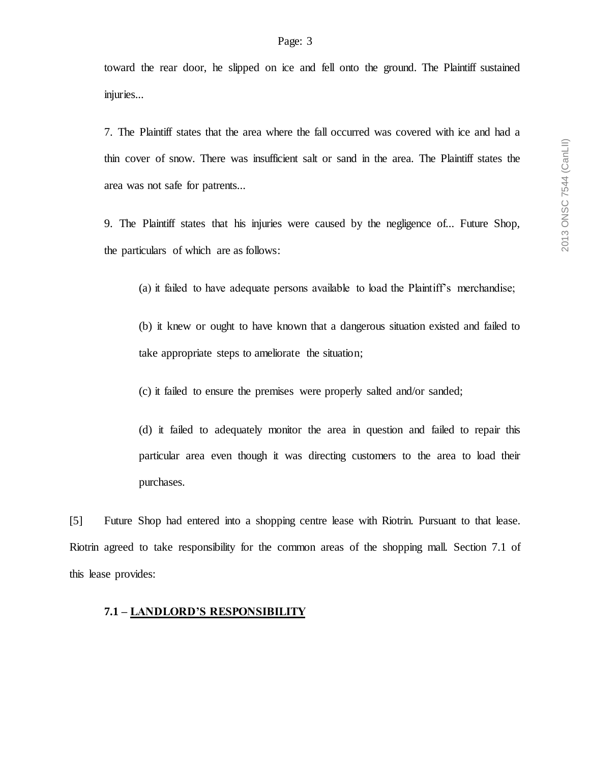toward the rear door, he slipped on ice and fell onto the ground. The Plaintiff sustained injuries...

7. The Plaintiff states that the area where the fall occurred was covered with ice and had a thin cover of snow. There was insufficient salt or sand in the area. The Plaintiff states the area was not safe for patrents...

9. The Plaintiff states that his injuries were caused by the negligence of... Future Shop, the particulars of which are as follows:

(a) it failed to have adequate persons available to load the Plaintiff's merchandise;

(b) it knew or ought to have known that a dangerous situation existed and failed to take appropriate steps to ameliorate the situation;

(c) it failed to ensure the premises were properly salted and/or sanded;

(d) it failed to adequately monitor the area in question and failed to repair this particular area even though it was directing customers to the area to load their purchases.

[5] Future Shop had entered into a shopping centre lease with Riotrin. Pursuant to that lease. Riotrin agreed to take responsibility for the common areas of the shopping mall. Section 7.1 of this lease provides:

#### **7.1 – LANDLORD'S RESPONSIBILITY**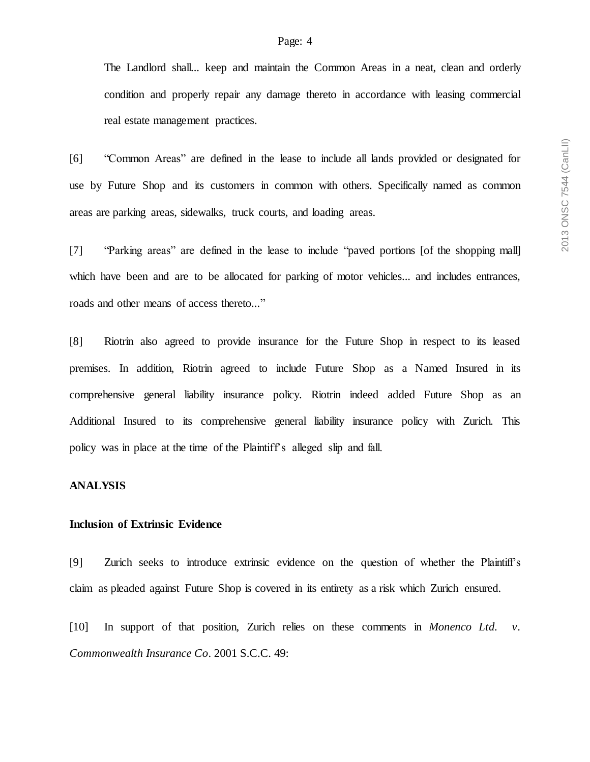The Landlord shall... keep and maintain the Common Areas in a neat, clean and orderly condition and properly repair any damage thereto in accordance with leasing commercial real estate management practices.

[6] "Common Areas" are defined in the lease to include all lands provided or designated for use by Future Shop and its customers in common with others. Specifically named as common areas are parking areas, sidewalks, truck courts, and loading areas.

[7] "Parking areas" are defined in the lease to include "paved portions [of the shopping mall] which have been and are to be allocated for parking of motor vehicles... and includes entrances, roads and other means of access thereto..."

[8] Riotrin also agreed to provide insurance for the Future Shop in respect to its leased premises. In addition, Riotrin agreed to include Future Shop as a Named Insured in its comprehensive general liability insurance policy. Riotrin indeed added Future Shop as an Additional Insured to its comprehensive general liability insurance policy with Zurich. This policy was in place at the time of the Plaintiff's alleged slip and fall.

#### **ANALYSIS**

### **Inclusion of Extrinsic Evidence**

[9] Zurich seeks to introduce extrinsic evidence on the question of whether the Plaintiff's claim as pleaded against Future Shop is covered in its entirety as a risk which Zurich ensured.

[10] In support of that position, Zurich relies on these comments in *Monenco Ltd. v. Commonwealth Insurance Co*. 2001 S.C.C. 49: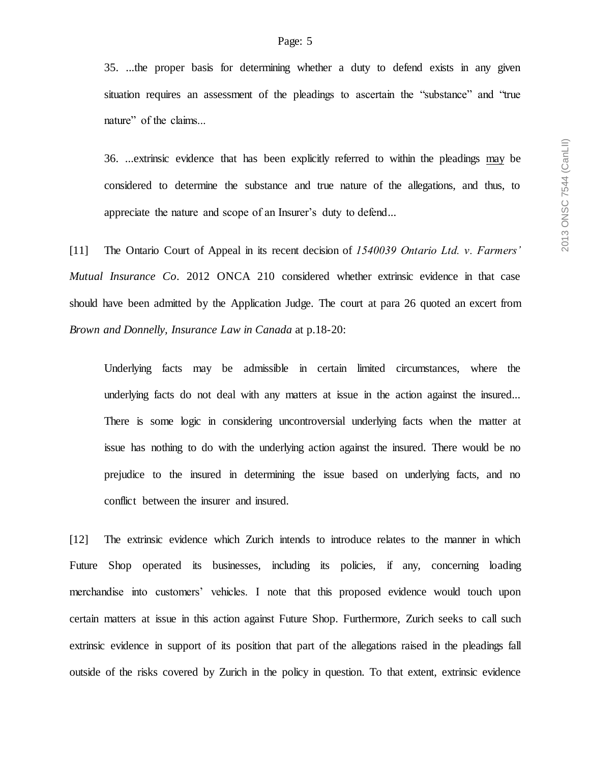35. ...the proper basis for determining whether a duty to defend exists in any given situation requires an assessment of the pleadings to ascertain the "substance" and "true nature" of the claims...

36. ...extrinsic evidence that has been explicitly referred to within the pleadings may be considered to determine the substance and true nature of the allegations, and thus, to appreciate the nature and scope of an Insurer's duty to defend...

[11] The Ontario Court of Appeal in its recent decision of *1540039 Ontario Ltd. v. Farmers' Mutual Insurance Co*. 2012 ONCA 210 considered whether extrinsic evidence in that case should have been admitted by the Application Judge. The court at para 26 quoted an excert from *Brown and Donnelly, Insurance Law in Canada* at p.18-20:

Underlying facts may be admissible in certain limited circumstances, where the underlying facts do not deal with any matters at issue in the action against the insured... There is some logic in considering uncontroversial underlying facts when the matter at issue has nothing to do with the underlying action against the insured. There would be no prejudice to the insured in determining the issue based on underlying facts, and no conflict between the insurer and insured.

[12] The extrinsic evidence which Zurich intends to introduce relates to the manner in which Future Shop operated its businesses, including its policies, if any, concerning loading merchandise into customers' vehicles. I note that this proposed evidence would touch upon certain matters at issue in this action against Future Shop. Furthermore, Zurich seeks to call such extrinsic evidence in support of its position that part of the allegations raised in the pleadings fall outside of the risks covered by Zurich in the policy in question. To that extent, extrinsic evidence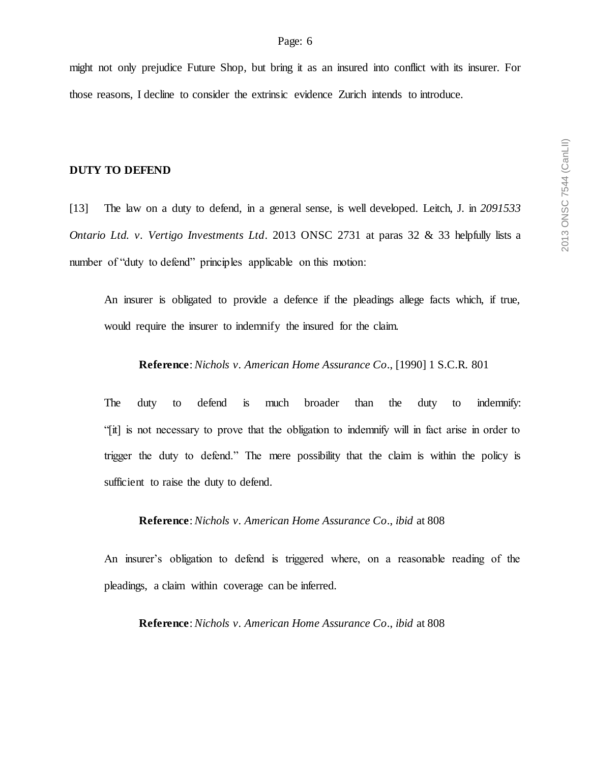might not only prejudice Future Shop, but bring it as an insured into conflict with its insurer. For those reasons, I decline to consider the extrinsic evidence Zurich intends to introduce.

### **DUTY TO DEFEND**

[13] The law on a duty to defend, in a general sense, is well developed. Leitch, J. in *2091533 Ontario Ltd. v. Vertigo Investments Ltd*. 2013 ONSC 2731 at paras 32 & 33 helpfully lists a number of "duty to defend" principles applicable on this motion:

An insurer is obligated to provide a defence if the pleadings allege facts which, if true, would require the insurer to indemnify the insured for the claim.

#### **Reference**: *Nichols v. American Home Assurance Co*., [1990] 1 S.C.R. 801

The duty to defend is much broader than the duty to indemnify: "[it] is not necessary to prove that the obligation to indemnify will in fact arise in order to trigger the duty to defend." The mere possibility that the claim is within the policy is sufficient to raise the duty to defend.

### **Reference**: *Nichols v. American Home Assurance Co*., *ibid* at 808

An insurer's obligation to defend is triggered where, on a reasonable reading of the pleadings, a claim within coverage can be inferred.

**Reference**: *Nichols v. American Home Assurance Co*., *ibid* at 808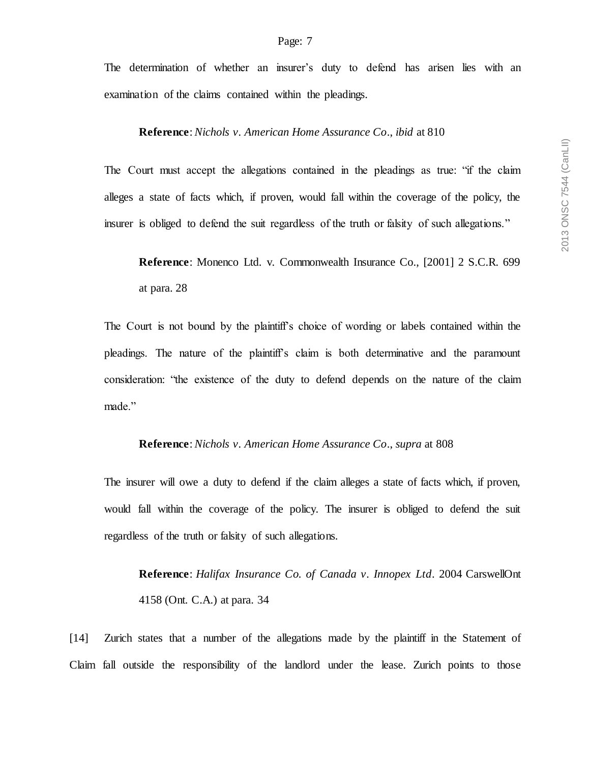The determination of whether an insurer's duty to defend has arisen lies with an examination of the claims contained within the pleadings.

### **Reference**: *Nichols v. American Home Assurance Co*., *ibid* at 810

The Court must accept the allegations contained in the pleadings as true: "if the claim alleges a state of facts which, if proven, would fall within the coverage of the policy, the insurer is obliged to defend the suit regardless of the truth or falsity of such allegations."

**Reference**: Monenco Ltd. v. Commonwealth Insurance Co., [2001] 2 S.C.R. 699 at para. 28

The Court is not bound by the plaintiff's choice of wording or labels contained within the pleadings. The nature of the plaintiff's claim is both determinative and the paramount consideration: "the existence of the duty to defend depends on the nature of the claim made."

#### **Reference**: *Nichols v. American Home Assurance Co*., *supra* at 808

The insurer will owe a duty to defend if the claim alleges a state of facts which, if proven, would fall within the coverage of the policy. The insurer is obliged to defend the suit regardless of the truth or falsity of such allegations.

**Reference**: *Halifax Insurance Co. of Canada v. Innopex Ltd*. 2004 CarswellOnt 4158 (Ont. C.A.) at para. 34

[14] Zurich states that a number of the allegations made by the plaintiff in the Statement of Claim fall outside the responsibility of the landlord under the lease. Zurich points to those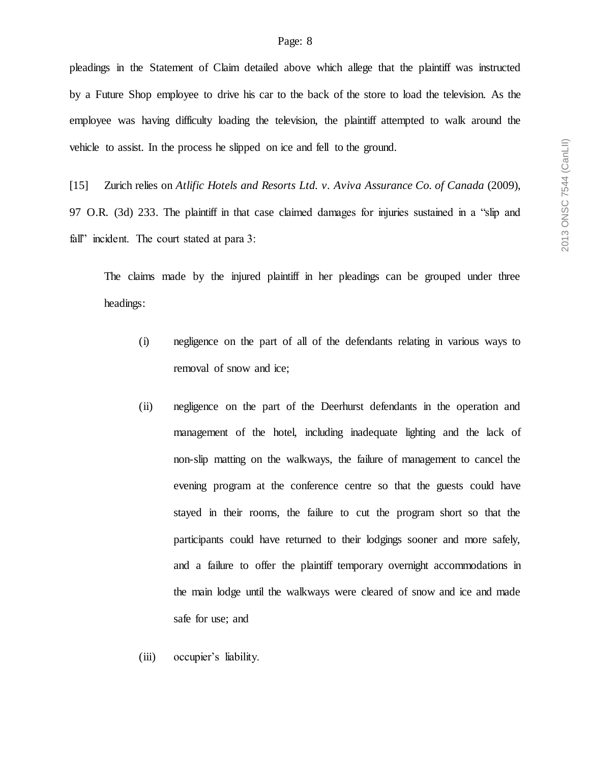pleadings in the Statement of Claim detailed above which allege that the plaintiff was instructed by a Future Shop employee to drive his car to the back of the store to load the television. As the employee was having difficulty loading the television, the plaintiff attempted to walk around the vehicle to assist. In the process he slipped on ice and fell to the ground.

[15] Zurich relies on *Atlific Hotels and Resorts Ltd. v. Aviva Assurance Co. of Canada* (2009), 97 O.R. (3d) 233. The plaintiff in that case claimed damages for injuries sustained in a "slip and fall" incident. The court stated at para 3:

The claims made by the injured plaintiff in her pleadings can be grouped under three headings:

- (i) negligence on the part of all of the defendants relating in various ways to removal of snow and ice;
- (ii) negligence on the part of the Deerhurst defendants in the operation and management of the hotel, including inadequate lighting and the lack of non-slip matting on the walkways, the failure of management to cancel the evening program at the conference centre so that the guests could have stayed in their rooms, the failure to cut the program short so that the participants could have returned to their lodgings sooner and more safely, and a failure to offer the plaintiff temporary overnight accommodations in the main lodge until the walkways were cleared of snow and ice and made safe for use; and
- (iii) occupier's liability.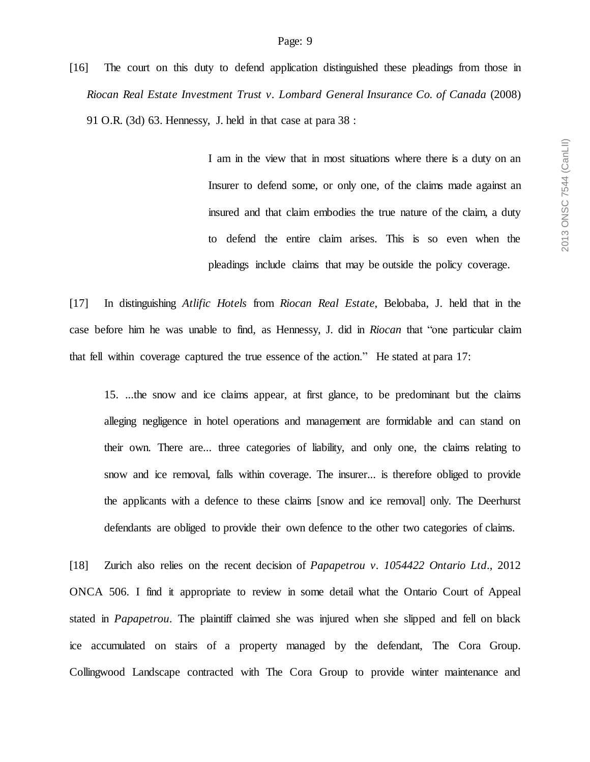[16] The court on this duty to defend application distinguished these pleadings from those in *Riocan Real Estate Investment Trust v. Lombard General Insurance Co. of Canada* (2008) 91 O.R. (3d) 63. Hennessy, J. held in that case at para 38 :

> I am in the view that in most situations where there is a duty on an Insurer to defend some, or only one, of the claims made against an insured and that claim embodies the true nature of the claim, a duty to defend the entire claim arises. This is so even when the pleadings include claims that may be outside the policy coverage.

[17] In distinguishing *Atlific Hotels* from *Riocan Real Estate*, Belobaba, J. held that in the case before him he was unable to find, as Hennessy, J. did in *Riocan* that "one particular claim that fell within coverage captured the true essence of the action." He stated at para 17:

15. ...the snow and ice claims appear, at first glance, to be predominant but the claims alleging negligence in hotel operations and management are formidable and can stand on their own. There are... three categories of liability, and only one, the claims relating to snow and ice removal, falls within coverage. The insurer... is therefore obliged to provide the applicants with a defence to these claims [snow and ice removal] only. The Deerhurst defendants are obliged to provide their own defence to the other two categories of claims.

[18] Zurich also relies on the recent decision of *Papapetrou v. 1054422 Ontario Ltd*., 2012 ONCA 506. I find it appropriate to review in some detail what the Ontario Court of Appeal stated in *Papapetrou*. The plaintiff claimed she was injured when she slipped and fell on black ice accumulated on stairs of a property managed by the defendant, The Cora Group. Collingwood Landscape contracted with The Cora Group to provide winter maintenance and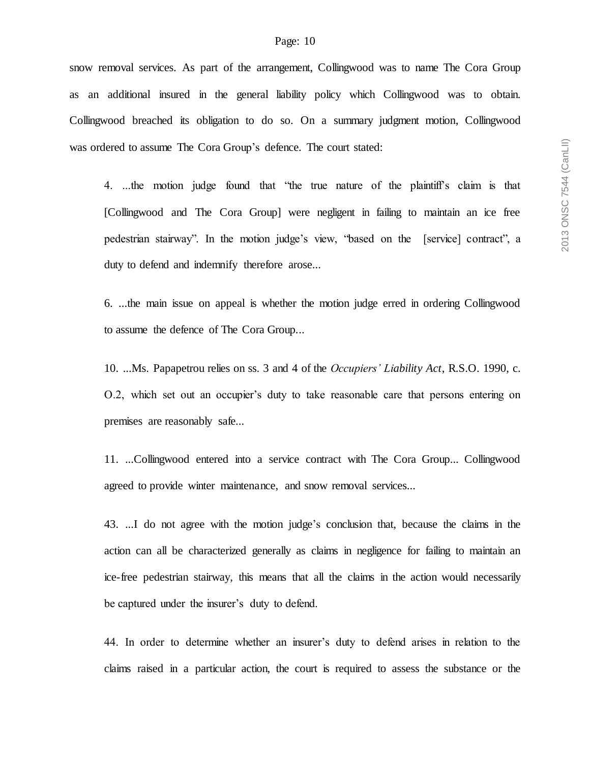snow removal services. As part of the arrangement, Collingwood was to name The Cora Group as an additional insured in the general liability policy which Collingwood was to obtain. Collingwood breached its obligation to do so. On a summary judgment motion, Collingwood was ordered to assume The Cora Group's defence. The court stated:

4. ...the motion judge found that "the true nature of the plaintiff's claim is that [Collingwood and The Cora Group] were negligent in failing to maintain an ice free pedestrian stairway". In the motion judge's view, "based on the [service] contract", a duty to defend and indemnify therefore arose...

6. ...the main issue on appeal is whether the motion judge erred in ordering Collingwood to assume the defence of The Cora Group...

10. ...Ms. Papapetrou relies on ss. 3 and 4 of the *Occupiers' Liability Act*, R.S.O. 1990, c. O.2, which set out an occupier's duty to take reasonable care that persons entering on premises are reasonably safe...

11. ...Collingwood entered into a service contract with The Cora Group... Collingwood agreed to provide winter maintenance, and snow removal services...

43. ...I do not agree with the motion judge's conclusion that, because the claims in the action can all be characterized generally as claims in negligence for failing to maintain an ice-free pedestrian stairway, this means that all the claims in the action would necessarily be captured under the insurer's duty to defend.

44. In order to determine whether an insurer's duty to defend arises in relation to the claims raised in a particular action, the court is required to assess the substance or the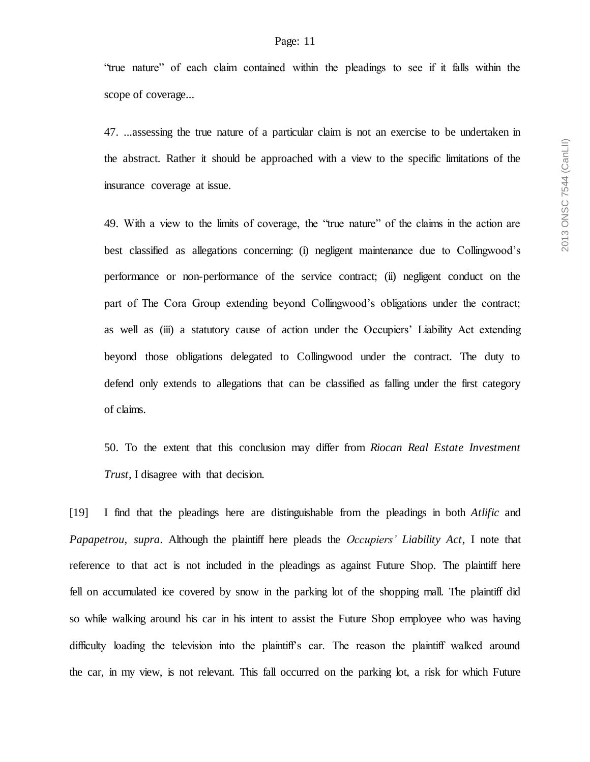#### Page: 11

"true nature" of each claim contained within the pleadings to see if it falls within the scope of coverage...

47. ...assessing the true nature of a particular claim is not an exercise to be undertaken in the abstract. Rather it should be approached with a view to the specific limitations of the insurance coverage at issue.

49. With a view to the limits of coverage, the "true nature" of the claims in the action are best classified as allegations concerning: (i) negligent maintenance due to Collingwood's performance or non-performance of the service contract; (ii) negligent conduct on the part of The Cora Group extending beyond Collingwood's obligations under the contract; as well as (iii) a statutory cause of action under the Occupiers' Liability Act extending beyond those obligations delegated to Collingwood under the contract. The duty to defend only extends to allegations that can be classified as falling under the first category of claims.

50. To the extent that this conclusion may differ from *Riocan Real Estate Investment Trust*, I disagree with that decision.

[19] I find that the pleadings here are distinguishable from the pleadings in both *Atlific* and *Papapetrou, supra*. Although the plaintiff here pleads the *Occupiers' Liability Act*, I note that reference to that act is not included in the pleadings as against Future Shop. The plaintiff here fell on accumulated ice covered by snow in the parking lot of the shopping mall. The plaintiff did so while walking around his car in his intent to assist the Future Shop employee who was having difficulty loading the television into the plaintiff's car. The reason the plaintiff walked around the car, in my view, is not relevant. This fall occurred on the parking lot, a risk for which Future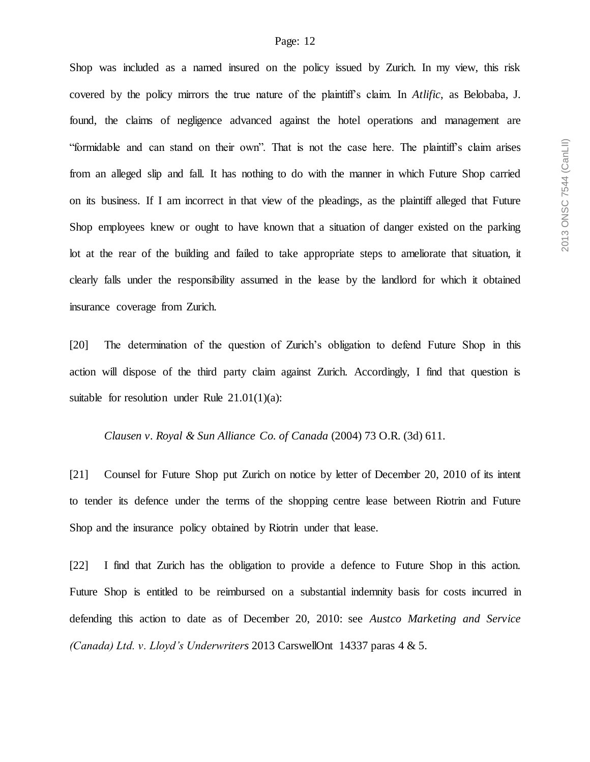Shop was included as a named insured on the policy issued by Zurich. In my view, this risk covered by the policy mirrors the true nature of the plaintiff's claim. In *Atlific*, as Belobaba, J. found, the claims of negligence advanced against the hotel operations and management are "formidable and can stand on their own". That is not the case here. The plaintiff's claim arises from an alleged slip and fall. It has nothing to do with the manner in which Future Shop carried on its business. If I am incorrect in that view of the pleadings, as the plaintiff alleged that Future Shop employees knew or ought to have known that a situation of danger existed on the parking lot at the rear of the building and failed to take appropriate steps to ameliorate that situation, it clearly falls under the responsibility assumed in the lease by the landlord for which it obtained insurance coverage from Zurich.

[20] The determination of the question of Zurich's obligation to defend Future Shop in this action will dispose of the third party claim against Zurich. Accordingly, I find that question is suitable for resolution under Rule  $21.01(1)(a)$ :

#### *Clausen v. Royal & Sun Alliance Co. of Canada* (2004) 73 O.R. (3d) 611.

[21] Counsel for Future Shop put Zurich on notice by letter of December 20, 2010 of its intent to tender its defence under the terms of the shopping centre lease between Riotrin and Future Shop and the insurance policy obtained by Riotrin under that lease.

[22] I find that Zurich has the obligation to provide a defence to Future Shop in this action. Future Shop is entitled to be reimbursed on a substantial indemnity basis for costs incurred in defending this action to date as of December 20, 2010: see *Austco Marketing and Service (Canada) Ltd. v. Lloyd's Underwriters* 2013 CarswellOnt 14337 paras 4 & 5.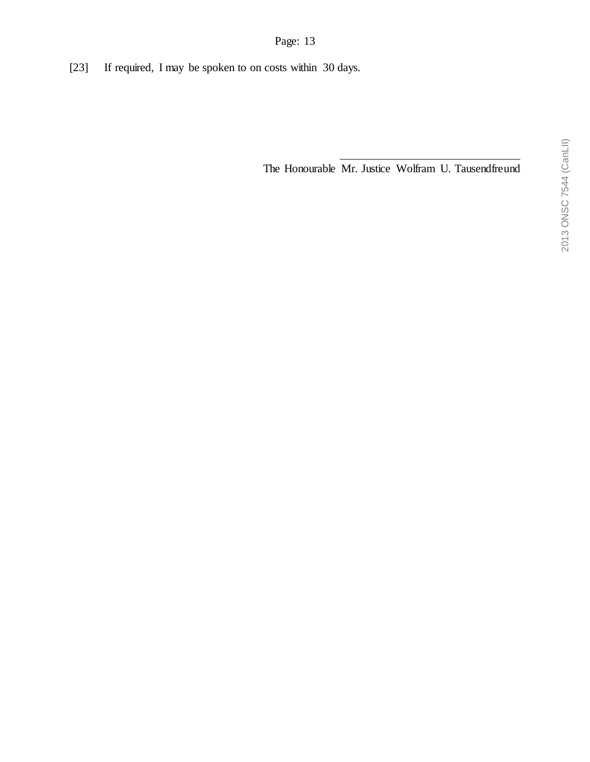[23] If required, I may be spoken to on costs within 30 days.

The Honourable Mr. Justice Wolfram U. Tausendfreund